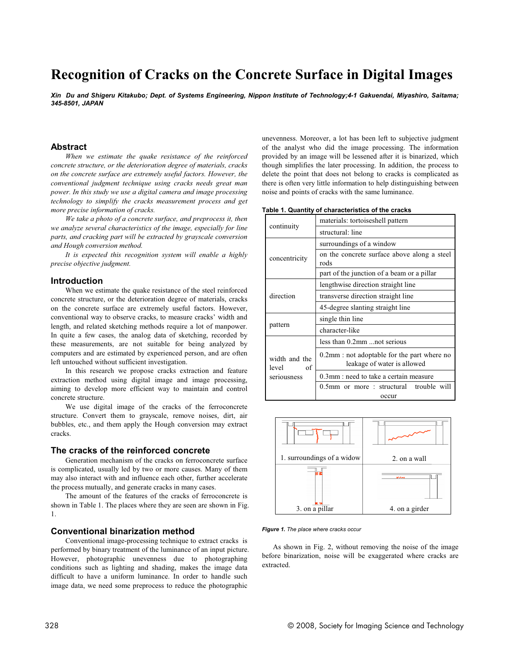# **Recognition of Cracks on the Concrete Surface in Digital Images**

*Xin Du and Shigeru Kitakubo; Dept. of Systems Engineering, Nippon Institute of Technology;4-1 Gakuendai, Miyashiro, Saitama; 345-8501, JAPAN*

## **Abstract**

*When we estimate the quake resistance of the reinforced concrete structure, or the deterioration degree of materials, cracks on the concrete surface are extremely useful factors. However, the conventional judgment technique using cracks needs great man power. In this study we use a digital camera and image processing technology to simplify the cracks measurement process and get more precise information of cracks.*

*We take a photo of a concrete surface, and preprocess it, then we analyze several characteristics of the image, especially for line parts, and cracking part will be extracted by grayscale conversion and Hough conversion method.*

*It is expected this recognition system will enable a highly precise objective judgment.*

#### **Introduction**

When we estimate the quake resistance of the steel reinforced concrete structure, or the deterioration degree of materials, cracks on the concrete surface are extremely useful factors. However, conventional way to observe cracks, to measure cracks' width and length, and related sketching methods require a lot of manpower. In quite a few cases, the analog data of sketching, recorded by these measurements, are not suitable for being analyzed by computers and are estimated by experienced person, and are often left untouched without sufficient investigation.

In this research we propose cracks extraction and feature extraction method using digital image and image processing, aiming to develop more efficient way to maintain and control concrete structure.

We use digital image of the cracks of the ferroconcrete structure. Convert them to grayscale, remove noises, dirt, air bubbles, etc., and them apply the Hough conversion may extract cracks.

## **The cracks of the reinforced concrete**

Generation mechanism of the cracks on ferroconcrete surface is complicated, usually led by two or more causes. Many of them may also interact with and influence each other, further accelerate the process mutually, and generate cracks in many cases.

The amount of the features of the cracks of ferroconcrete is shown in Table 1. The places where they are seen are shown in Fig. 1.

## **Conventional binarization method**

Conventional image-processing technique to extract cracks is performed by binary treatment of the luminance of an input picture. However, photographic unevenness due to photographing conditions such as lighting and shading, makes the image data difficult to have a uniform luminance. In order to handle such image data, we need some preprocess to reduce the photographic

unevenness. Moreover, a lot has been left to subjective judgment of the analyst who did the image processing. The information provided by an image will be lessened after it is binarized, which though simplifies the later processing. In addition, the process to delete the point that does not belong to cracks is complicated as there is often very little information to help distinguishing between noise and points of cracks with the same luminance.

**Table 1. Quantity of characteristics of the cracks**

| continuity                                  | materials: tortoiseshell pattern                                           |  |  |
|---------------------------------------------|----------------------------------------------------------------------------|--|--|
|                                             | structural: line                                                           |  |  |
| concentricity                               | surroundings of a window                                                   |  |  |
|                                             | on the concrete surface above along a steel<br>rods                        |  |  |
|                                             | part of the junction of a beam or a pillar                                 |  |  |
| direction                                   | lengthwise direction straight line                                         |  |  |
|                                             | transverse direction straight line                                         |  |  |
|                                             | 45-degree slanting straight line                                           |  |  |
| pattern                                     | single thin line                                                           |  |  |
|                                             | character-like                                                             |  |  |
| width and the<br>οf<br>level<br>seriousness | less than 0.2mm  not serious                                               |  |  |
|                                             | 0.2mm : not adoptable for the part where no<br>leakage of water is allowed |  |  |
|                                             | $0.3$ mm : need to take a certain measure                                  |  |  |
|                                             | 0.5mm or more : structural<br>trouble will                                 |  |  |
|                                             | occur                                                                      |  |  |



*Figure 1. The place where cracks occur*

As shown in Fig. 2, without removing the noise of the image before binarization, noise will be exaggerated where cracks are extracted.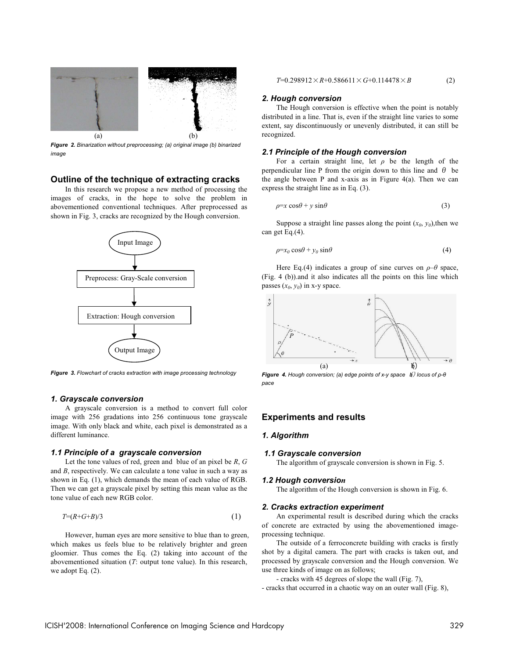

*Figure 2. Binarization without preprocessing; (a) original image (b) binarized image*

#### **Outline of the technique of extracting cracks**

In this research we propose a new method of processing the images of cracks, in the hope to solve the problem in abovementioned conventional techniques. After preprocessed as shown in Fig. 3, cracks are recognized by the Hough conversion.



*Figure 3. Flowchart of cracks extraction with image processing technology*

#### *1. Grayscale conversion*

A grayscale conversion is a method to convert full color image with 256 gradations into 256 continuous tone grayscale image. With only black and white, each pixel is demonstrated as a different luminance.

#### *1.1 Principle of a grayscale conversion*

Let the tone values of red, green and blue of an pixel be *R*, *G* and *B*, respectively. We can calculate a tone value in such a way as shown in Eq. (1), which demands the mean of each value of RGB. Then we can get a grayscale pixel by setting this mean value as the tone value of each new RGB color.

$$
T=(R+G+B)/3 \tag{1}
$$

However, human eyes are more sensitive to blue than to green, which makes us feels blue to be relatively brighter and green gloomier. Thus comes the Eq. (2) taking into account of the abovementioned situation (*T*: output tone value). In this research, we adopt Eq. (2).

#### *2. Hough conversion*

The Hough conversion is effective when the point is notably distributed in a line. That is, even if the straight line varies to some extent, say discontinuously or unevenly distributed, it can still be recognized.

#### *2.1 Principle of the Hough conversion*

For a certain straight line, let  $\rho$  be the length of the perpendicular line P from the origin down to this line and  $\theta$  be the angle between  $P$  and x-axis as in Figure 4(a). Then we can express the straight line as in Eq. (3).

$$
\rho = x \cos \theta + y \sin \theta \tag{3}
$$

Suppose a straight line passes along the point  $(x_0, y_0)$ , then we can get Eq.(4).

$$
\rho = x_0 \cos \theta + y_0 \sin \theta \tag{4}
$$

Here Eq.(4) indicates a group of sine curves on  $\rho-\theta$  space, (Fig. 4 (b)).and it also indicates all the points on this line which passes  $(x_0, y_0)$  in x-y space.



*Figure 4. Hough conversion; (a) edge points of x-y space* (*b*)*locus of ȡ-ș pace*

## **Experiments and results**

#### *1. Algorithm*

#### *1.1 Grayscale conversion*

The algorithm of grayscale conversion is shown in Fig. 5.

#### *1.2 Hough conversion*

The algorithm of the Hough conversion is shown in Fig. 6.

#### *2. Cracks extraction experiment*

An experimental result is described during which the cracks of concrete are extracted by using the abovementioned imageprocessing technique.

The outside of a ferroconcrete building with cracks is firstly shot by a digital camera. The part with cracks is taken out, and processed by grayscale conversion and the Hough conversion. We use three kinds of image on as follows;

- cracks with 45 degrees of slope the wall (Fig. 7),

- cracks that occurred in a chaotic way on an outer wall (Fig. 8),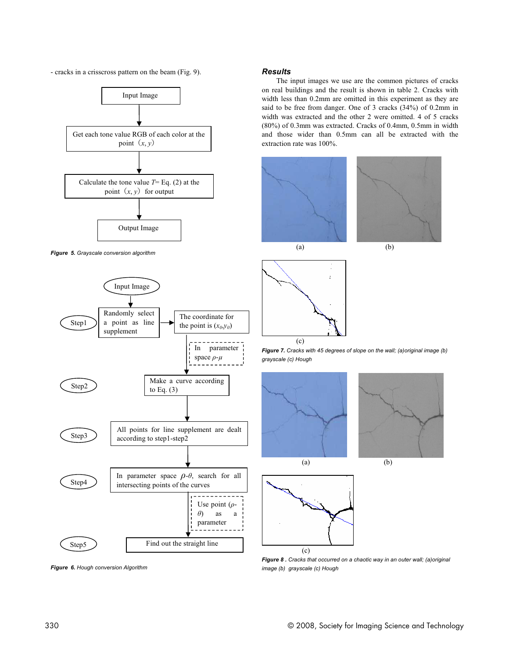- cracks in a crisscross pattern on the beam (Fig. 9).



*Figure 5. Grayscale conversion algorithm*



#### *Figure 6. Hough conversion Algorithm*

#### *Results*

The input images we use are the common pictures of cracks on real buildings and the result is shown in table 2. Cracks with width less than 0.2mm are omitted in this experiment as they are said to be free from danger. One of 3 cracks (34%) of 0.2mm in width was extracted and the other 2 were omitted. 4 of 5 cracks (80%) of 0.3mm was extracted. Cracks of 0.4mm, 0.5mm in width and those wider than 0.5mm can all be extracted with the extraction rate was 100%.







*Figure 7. Cracks with 45 degrees of slope on the wall; (a)original image (b) grayscale (c) Hough*





(c)